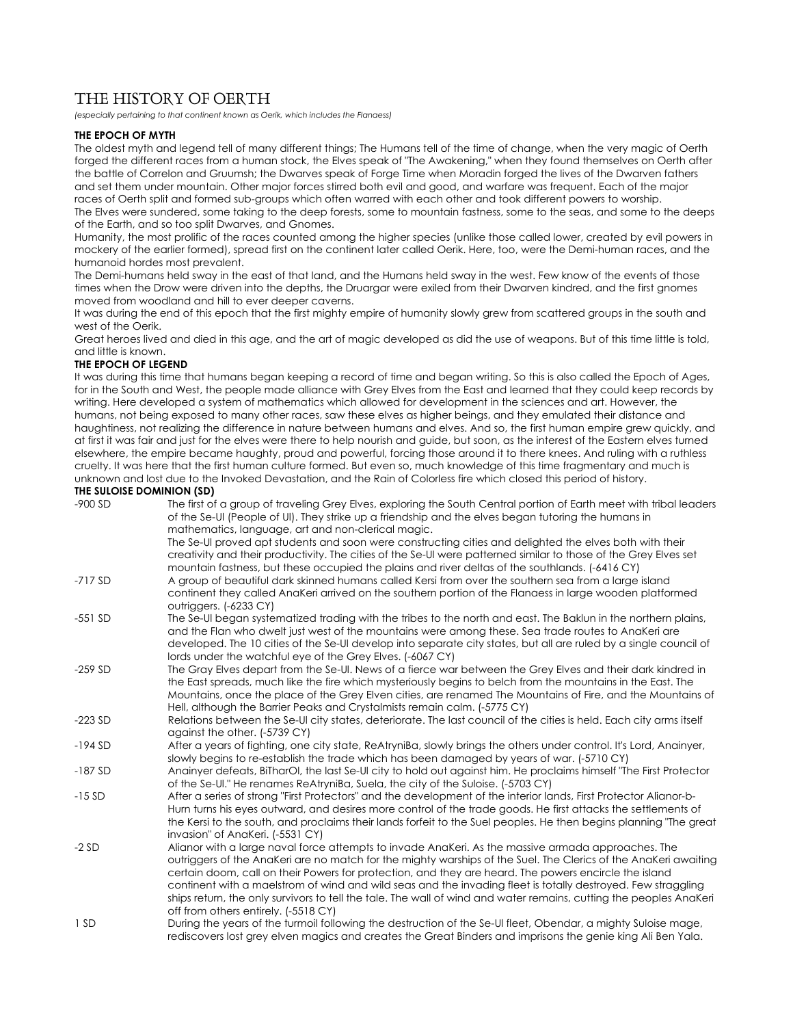# THE HISTORY OF OERTH

*(especially pertaining to that continent known as Oerik, which includes the Flanaess)* 

## **THE EPOCH OF MYTH**

The oldest myth and legend tell of many different things; The Humans tell of the time of change, when the very magic of Oerth forged the different races from a human stock, the Elves speak of "The Awakening," when they found themselves on Oerth after the battle of Correlon and Gruumsh; the Dwarves speak of Forge Time when Moradin forged the lives of the Dwarven fathers and set them under mountain. Other major forces stirred both evil and good, and warfare was frequent. Each of the major races of Oerth split and formed sub-groups which often warred with each other and took different powers to worship. The Elves were sundered, some taking to the deep forests, some to mountain fastness, some to the seas, and some to the deeps of the Earth, and so too split Dwarves, and Gnomes.

Humanity, the most prolific of the races counted among the higher species (unlike those called lower, created by evil powers in mockery of the earlier formed), spread first on the continent later called Oerik. Here, too, were the Demi-human races, and the humanoid hordes most prevalent.

The Demi-humans held sway in the east of that land, and the Humans held sway in the west. Few know of the events of those times when the Drow were driven into the depths, the Druargar were exiled from their Dwarven kindred, and the first gnomes moved from woodland and hill to ever deeper caverns.

It was during the end of this epoch that the first mighty empire of humanity slowly grew from scattered groups in the south and west of the Oerik.

Great heroes lived and died in this age, and the art of magic developed as did the use of weapons. But of this time little is told, and little is known.

# **THE EPOCH OF LEGEND**

It was during this time that humans began keeping a record of time and began writing. So this is also called the Epoch of Ages, for in the South and West, the people made alliance with Grey Elves from the East and learned that they could keep records by writing. Here developed a system of mathematics which allowed for development in the sciences and art. However, the humans, not being exposed to many other races, saw these elves as higher beings, and they emulated their distance and haughtiness, not realizing the difference in nature between humans and elves. And so, the first human empire grew quickly, and at first it was fair and just for the elves were there to help nourish and guide, but soon, as the interest of the Eastern elves turned elsewhere, the empire became haughty, proud and powerful, forcing those around it to there knees. And ruling with a ruthless cruelty. It was here that the first human culture formed. But even so, much knowledge of this time fragmentary and much is unknown and lost due to the Invoked Devastation, and the Rain of Colorless fire which closed this period of history. **THE SULOISE DOMINION (SD)** 

| $-900$ SD | The first of a group of traveling Grey Elves, exploring the South Central portion of Earth meet with tribal leaders<br>of the Se-UI (People of UI). They strike up a friendship and the elves began tutoring the humans in<br>mathematics, language, art and non-clerical magic.                                                                                                                                                                                                                                                                                                                             |
|-----------|--------------------------------------------------------------------------------------------------------------------------------------------------------------------------------------------------------------------------------------------------------------------------------------------------------------------------------------------------------------------------------------------------------------------------------------------------------------------------------------------------------------------------------------------------------------------------------------------------------------|
|           | The Se-UI proved apt students and soon were constructing cities and delighted the elves both with their<br>creativity and their productivity. The cities of the Se-UI were patterned similar to those of the Grey Elves set<br>mountain fastness, but these occupied the plains and river deltas of the southlands. (-6416 CY)                                                                                                                                                                                                                                                                               |
| $-717SD$  | A group of beautiful dark skinned humans called Kersi from over the southern sea from a large island<br>continent they called AnaKeri arrived on the southern portion of the Flanaess in large wooden platformed<br>outriggers. (-6233 CY)                                                                                                                                                                                                                                                                                                                                                                   |
| $-551$ SD | The Se-UI began systematized trading with the tribes to the north and east. The Baklun in the northern plains,<br>and the Flan who dwelt just west of the mountains were among these. Sea trade routes to AnaKeri are<br>developed. The 10 cities of the Se-UI develop into separate city states, but all are ruled by a single council of<br>lords under the watchful eye of the Grey Elves. (-6067 CY)                                                                                                                                                                                                     |
| $-259$ SD | The Gray Elves depart from the Se-UI. News of a fierce war between the Grey Elves and their dark kindred in<br>the East spreads, much like the fire which mysteriously begins to belch from the mountains in the East. The<br>Mountains, once the place of the Grey Elven cities, are renamed The Mountains of Fire, and the Mountains of<br>Hell, although the Barrier Peaks and Crystalmists remain calm. (-5775 CY)                                                                                                                                                                                       |
| $-223$ SD | Relations between the Se-UI city states, deteriorate. The last council of the cities is held. Each city arms itself<br>against the other. (-5739 CY)                                                                                                                                                                                                                                                                                                                                                                                                                                                         |
| $-194SD$  | After a years of fighting, one city state, ReAtryniBa, slowly brings the others under control. It's Lord, Anainyer,<br>slowly begins to re-establish the trade which has been damaged by years of war. (-5710 CY)                                                                                                                                                                                                                                                                                                                                                                                            |
| $-187SD$  | Anainyer defeats, BiTharOI, the last Se-UI city to hold out against him. He proclaims himself "The First Protector<br>of the Se-UI." He renames ReAtryniBa, Suela, the city of the Suloise. (-5703 CY)                                                                                                                                                                                                                                                                                                                                                                                                       |
| $-15SD$   | After a series of strong "First Protectors" and the development of the interior lands, First Protector Alianor-b-<br>Hurn turns his eyes outward, and desires more control of the trade goods. He first attacks the settlements of<br>the Kersi to the south, and proclaims their lands forfeit to the Suel peoples. He then begins planning "The great<br>invasion" of AnaKeri. (-5531 CY)                                                                                                                                                                                                                  |
| $-2SD$    | Alianor with a large naval force attempts to invade AnaKeri. As the massive armada approaches. The<br>outriggers of the AnaKeri are no match for the mighty warships of the Suel. The Clerics of the AnaKeri awaiting<br>certain doom, call on their Powers for protection, and they are heard. The powers encircle the island<br>continent with a maelstrom of wind and wild seas and the invading fleet is totally destroyed. Few straggling<br>ships return, the only survivors to tell the tale. The wall of wind and water remains, cutting the peoples AnaKeri<br>off from others entirely. (-5518 CY) |
| 1 SD      | During the years of the turmoil following the destruction of the Se-UI fleet, Obendar, a mighty Suloise mage,<br>rediscovers lost grey elven magics and creates the Great Binders and imprisons the genie king Ali Ben Yala.                                                                                                                                                                                                                                                                                                                                                                                 |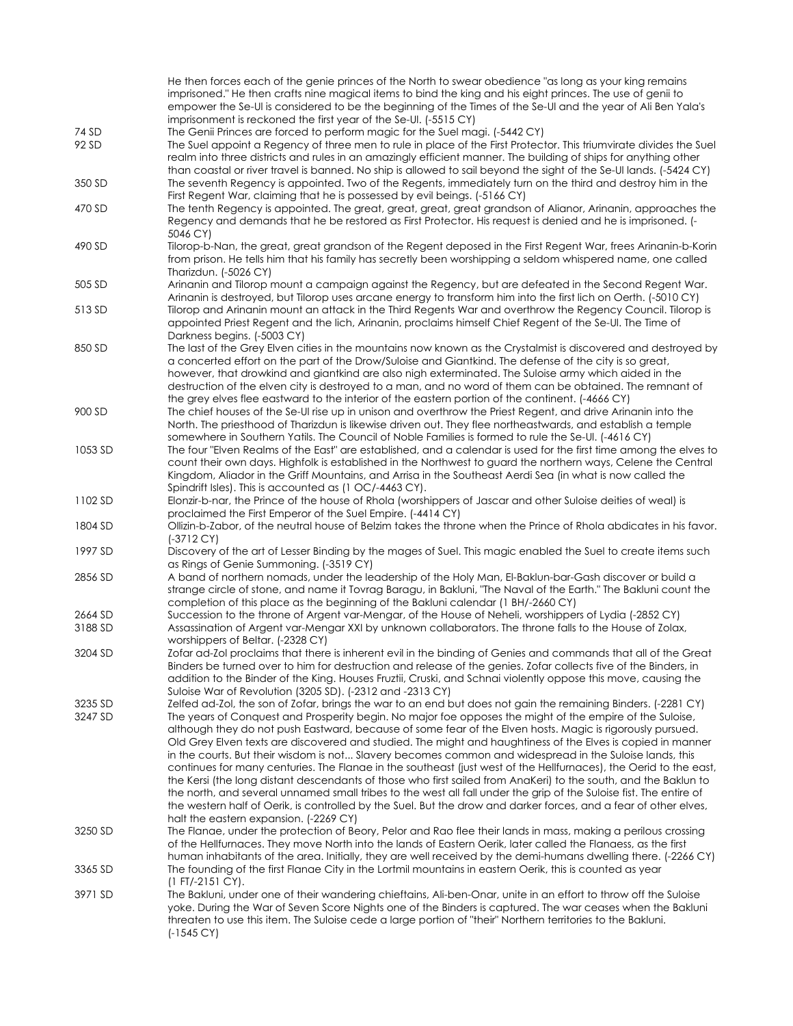He then forces each of the genie princes of the North to swear obedience "as long as your king remains imprisoned." He then crafts nine magical items to bind the king and his eight princes. The use of genii to empower the Se-Ul is considered to be the beginning of the Times of the Se-Ul and the year of Ali Ben Yala's imprisonment is reckoned the first year of the Se-Ul. (-5515 CY) 74 SD The Genii Princes are forced to perform magic for the Suel magi. (-5442 CY) 92 SD The Suel appoint a Regency of three men to rule in place of the First Protector. This triumvirate divides the Suel realm into three districts and rules in an amazingly efficient manner. The building of ships for anything other than coastal or river travel is banned. No ship is allowed to sail beyond the sight of the Se-Ul lands. (-5424 CY) 350 SD The seventh Regency is appointed. Two of the Regents, immediately turn on the third and destroy him in the First Regent War, claiming that he is possessed by evil beings. (-5166 CY) 470 SD The tenth Regency is appointed. The great, great, great, great grandson of Alianor, Arinanin, approaches the Regency and demands that he be restored as First Protector. His request is denied and he is imprisoned. (- 5046 CY) 490 SD Tilorop-b-Nan, the great, great grandson of the Regent deposed in the First Regent War, frees Arinanin-b-Korin from prison. He tells him that his family has secretly been worshipping a seldom whispered name, one called Tharizdun. (-5026 CY) 505 SD Arinanin and Tilorop mount a campaign against the Regency, but are defeated in the Second Regent War. Arinanin is destroyed, but Tilorop uses arcane energy to transform him into the first lich on Oerth. (-5010 CY) 513 SD Tilorop and Arinanin mount an attack in the Third Regents War and overthrow the Regency Council. Tilorop is appointed Priest Regent and the lich, Arinanin, proclaims himself Chief Regent of the Se-Ul. The Time of Darkness begins. (-5003 CY) 850 SD The last of the Grey Elven cities in the mountains now known as the Crystalmist is discovered and destroyed by a concerted effort on the part of the Drow/Suloise and Giantkind. The defense of the city is so great, however, that drowkind and giantkind are also nigh exterminated. The Suloise army which aided in the destruction of the elven city is destroyed to a man, and no word of them can be obtained. The remnant of the grey elves flee eastward to the interior of the eastern portion of the continent. (-4666 CY) 900 SD The chief houses of the Se-Ul rise up in unison and overthrow the Priest Regent, and drive Arinanin into the North. The priesthood of Tharizdun is likewise driven out. They flee northeastwards, and establish a temple somewhere in Southern Yatils. The Council of Noble Families is formed to rule the Se-Ul. (-4616 CY) 1053 SD The four "Elven Realms of the East" are established, and a calendar is used for the first time among the elves to count their own days. Highfolk is established in the Northwest to guard the northern ways, Celene the Central Kingdom, Aliador in the Griff Mountains, and Arrisa in the Southeast Aerdi Sea (in what is now called the Spindrift Isles). This is accounted as (1 OC/-4463 CY). 1102 SD Elonzir-b-nar, the Prince of the house of Rhola (worshippers of Jascar and other Suloise deities of weal) is proclaimed the First Emperor of the Suel Empire. (-4414 CY) 1804 SD Ollizin-b-Zabor, of the neutral house of Belzim takes the throne when the Prince of Rhola abdicates in his favor. (-3712 CY) 1997 SD Discovery of the art of Lesser Binding by the mages of Suel. This magic enabled the Suel to create items such as Rings of Genie Summoning. (-3519 CY) 2856 SD A band of northern nomads, under the leadership of the Holy Man, El-Baklun-bar-Gash discover or build a strange circle of stone, and name it Tovrag Baragu, in Bakluni, "The Naval of the Earth." The Bakluni count the completion of this place as the beginning of the Bakluni calendar (1 BH/-2660 CY) 2664 SD Succession to the throne of Argent var-Mengar, of the House of Neheli, worshippers of Lydia (-2852 CY) 3188 SD Assassination of Argent var-Mengar XXI by unknown collaborators. The throne falls to the House of Zolax, worshippers of Beltar. (-2328 CY) 3204 SD Zofar ad-Zol proclaims that there is inherent evil in the binding of Genies and commands that all of the Great Binders be turned over to him for destruction and release of the genies. Zofar collects five of the Binders, in addition to the Binder of the King. Houses Fruztii, Cruski, and Schnai violently oppose this move, causing the Suloise War of Revolution (3205 SD). (-2312 and -2313 CY) 3235 SD Zelfed ad-Zol, the son of Zofar, brings the war to an end but does not gain the remaining Binders. (-2281 CY) 3247 SD The years of Conquest and Prosperity begin. No major foe opposes the might of the empire of the Suloise, although they do not push Eastward, because of some fear of the Elven hosts. Magic is rigorously pursued. Old Grey Elven texts are discovered and studied. The might and haughtiness of the Elves is copied in manner in the courts. But their wisdom is not... Slavery becomes common and widespread in the Suloise lands, this continues for many centuries. The Flanae in the southeast (just west of the Hellfurnaces), the Oerid to the east, the Kersi (the long distant descendants of those who first sailed from AnaKeri) to the south, and the Baklun to the north, and several unnamed small tribes to the west all fall under the grip of the Suloise fist. The entire of the western half of Oerik, is controlled by the Suel. But the drow and darker forces, and a fear of other elves, halt the eastern expansion. (-2269 CY) 3250 SD The Flanae, under the protection of Beory, Pelor and Rao flee their lands in mass, making a perilous crossing of the Hellfurnaces. They move North into the lands of Eastern Oerik, later called the Flanaess, as the first human inhabitants of the area. Initially, they are well received by the demi-humans dwelling there. (-2266 CY) 3365 SD The founding of the first Flanae City in the Lortmil mountains in eastern Oerik, this is counted as year (1 FT/-2151 CY). 3971 SD The Bakluni, under one of their wandering chieftains, Ali-ben-Onar, unite in an effort to throw off the Suloise yoke. During the War of Seven Score Nights one of the Binders is captured. The war ceases when the Bakluni threaten to use this item. The Suloise cede a large portion of "their" Northern territories to the Bakluni. (-1545 CY)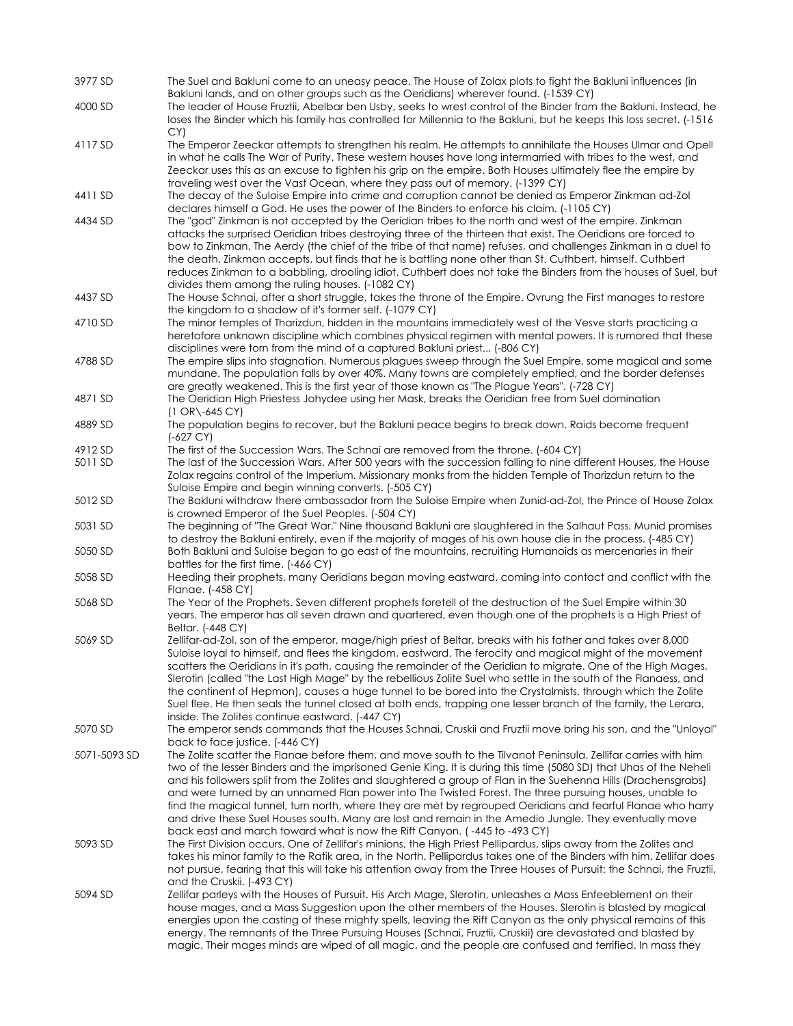| 3977 SD      | The Suel and Bakluni come to an uneasy peace. The House of Zolax plots to fight the Bakluni influences (in                                                                                                                                                                                                                                                                                                                                                                                                                                                                                                                                                                                                                                                              |
|--------------|-------------------------------------------------------------------------------------------------------------------------------------------------------------------------------------------------------------------------------------------------------------------------------------------------------------------------------------------------------------------------------------------------------------------------------------------------------------------------------------------------------------------------------------------------------------------------------------------------------------------------------------------------------------------------------------------------------------------------------------------------------------------------|
| 4000 SD      | Bakluni lands, and on other groups such as the Oeridians) wherever found. (-1539 CY)<br>The leader of House Fruztii, Abelbar ben Usby, seeks to wrest control of the Binder from the Bakluni. Instead, he<br>loses the Binder which his family has controlled for Millennia to the Bakluni, but he keeps this loss secret. (-1516)                                                                                                                                                                                                                                                                                                                                                                                                                                      |
| 4117 SD      | CY)<br>The Emperor Zeeckar attempts to strengthen his realm. He attempts to annihilate the Houses Ulmar and Opell                                                                                                                                                                                                                                                                                                                                                                                                                                                                                                                                                                                                                                                       |
|              | in what he calls The War of Purity. These western houses have long intermarried with tribes to the west, and<br>Zeeckar uses this as an excuse to tighten his grip on the empire. Both Houses ultimately flee the empire by<br>traveling west over the Vast Ocean, where they pass out of memory. (-1399 CY)                                                                                                                                                                                                                                                                                                                                                                                                                                                            |
| 4411 SD      | The decay of the Suloise Empire into crime and corruption cannot be denied as Emperor Zinkman ad-Zol<br>declares himself a God. He uses the power of the Binders to enforce his claim. (-1105 CY)                                                                                                                                                                                                                                                                                                                                                                                                                                                                                                                                                                       |
| 4434 SD      | The "god" Zinkman is not accepted by the Oeridian tribes to the north and west of the empire. Zinkman<br>attacks the surprised Oeridian tribes destroying three of the thirteen that exist. The Oeridians are forced to<br>bow to Zinkman. The Aerdy (the chief of the tribe of that name) refuses, and challenges Zinkman in a duel to<br>the death. Zinkman accepts, but finds that he is battling none other than St. Cuthbert, himself. Cuthbert<br>reduces Zinkman to a babbling, drooling idiot. Cuthbert does not take the Binders from the houses of Suel, but<br>divides them among the ruling houses. (-1082 CY)                                                                                                                                              |
| 4437 SD      | The House Schnai, after a short struggle, takes the throne of the Empire. Ovrung the First manages to restore<br>the kingdom to a shadow of it's former self. (-1079 CY)                                                                                                                                                                                                                                                                                                                                                                                                                                                                                                                                                                                                |
| 4710 SD      | The minor temples of Tharizdun, hidden in the mountains immediately west of the Vesve starts practicing a<br>heretofore unknown discipline which combines physical regimen with mental powers. It is rumored that these<br>disciplines were torn from the mind of a captured Bakluni priest (-806 CY)                                                                                                                                                                                                                                                                                                                                                                                                                                                                   |
| 4788 SD      | The empire slips into stagnation. Numerous plagues sweep through the Suel Empire, some magical and some<br>mundane. The population falls by over 40%. Many towns are completely emptied, and the border defenses<br>are greatly weakened. This is the first year of those known as "The Plague Years". (-728 CY)                                                                                                                                                                                                                                                                                                                                                                                                                                                        |
| 4871 SD      | The Oeridian High Priestess Johydee using her Mask, breaks the Oeridian free from Suel domination<br>$(1 \text{ OR} \ -645 \text{ CY})$                                                                                                                                                                                                                                                                                                                                                                                                                                                                                                                                                                                                                                 |
| 4889 SD      | The population begins to recover, but the Bakluni peace begins to break down. Raids become frequent<br>(-627 CY)                                                                                                                                                                                                                                                                                                                                                                                                                                                                                                                                                                                                                                                        |
| 4912 SD      | The first of the Succession Wars. The Schnai are removed from the throne. (-604 CY)                                                                                                                                                                                                                                                                                                                                                                                                                                                                                                                                                                                                                                                                                     |
| 5011 SD      | The last of the Succession Wars. After 500 years with the succession falling to nine different Houses, the House<br>Zolax regains control of the Imperium. Missionary monks from the hidden Temple of Tharizdun return to the<br>Suloise Empire and begin winning converts. (-505 CY)                                                                                                                                                                                                                                                                                                                                                                                                                                                                                   |
| 5012 SD      | The Bakluni withdraw there ambassador from the Suloise Empire when Zunid-ad-Zol, the Prince of House Zolax<br>is crowned Emperor of the Suel Peoples. (-504 CY)                                                                                                                                                                                                                                                                                                                                                                                                                                                                                                                                                                                                         |
| 5031 SD      | The beginning of "The Great War." Nine thousand Bakluni are slaughtered in the Salhaut Pass. Munid promises<br>to destroy the Bakluni entirely, even if the majority of mages of his own house die in the process. (-485 CY)                                                                                                                                                                                                                                                                                                                                                                                                                                                                                                                                            |
| 5050 SD      | Both Bakluni and Suloise began to go east of the mountains, recruiting Humanoids as mercenaries in their<br>battles for the first time. $(-466 \, \text{CY})$                                                                                                                                                                                                                                                                                                                                                                                                                                                                                                                                                                                                           |
| 5058 SD      | Heeding their prophets, many Oeridians began moving eastward, coming into contact and conflict with the<br>Flanae. (-458 CY)                                                                                                                                                                                                                                                                                                                                                                                                                                                                                                                                                                                                                                            |
| 5068 SD      | The Year of the Prophets. Seven different prophets foretell of the destruction of the Suel Empire within 30<br>years. The emperor has all seven drawn and quartered, even though one of the prophets is a High Priest of                                                                                                                                                                                                                                                                                                                                                                                                                                                                                                                                                |
| 5069 SD      | Beltar. (-448 CY)<br>Zellifar-ad-Zol, son of the emperor, mage/high priest of Beltar, breaks with his father and takes over 8,000<br>Suloise loyal to himself, and flees the kingdom, eastward. The ferocity and magical might of the movement<br>scatters the Oeridians in it's path, causing the remainder of the Oeridian to migrate. One of the High Mages,<br>Slerotin (called "the Last High Mage" by the rebellious Zolite Suel who settle in the south of the Flangess, and<br>the continent of Hepmon), causes a huge tunnel to be bored into the Crystalmists, through which the Zolite<br>Suel flee. He then seals the tunnel closed at both ends, trapping one lesser branch of the family, the Lerara,<br>inside. The Zolites continue eastward. (-447 CY) |
| 5070 SD      | The emperor sends commands that the Houses Schnai, Cruskii and Fruztii move bring his son, and the "Unloyal"<br>back to face justice. (-446 CY)                                                                                                                                                                                                                                                                                                                                                                                                                                                                                                                                                                                                                         |
| 5071-5093 SD | The Zolite scatter the Flanae before them, and move south to the Tilvanot Peninsula. Zellifar carries with him<br>two of the lesser Binders and the imprisoned Genie King. It is during this time (5080 SD) that Uhas of the Neheli<br>and his followers split from the Zolites and slaughtered a group of Flan in the Suehenna Hills (Drachensgrabs)<br>and were turned by an unnamed Flan power into The Twisted Forest. The three pursuing houses, unable to<br>find the magical tunnel, turn north, where they are met by regrouped Oeridians and fearful Flanae who harry<br>and drive these Suel Houses south. Many are lost and remain in the Amedio Jungle. They eventually move<br>back east and march toward what is now the Rift Canyon. (-445 to -493 CY)   |
| 5093 SD      | The First Division occurs. One of Zellifar's minions, the High Priest Pellipardus, slips away from the Zolites and<br>takes his minor family to the Ratik area, in the North. Pellipardus takes one of the Binders with him. Zellifar does<br>not pursue, fearing that this will take his attention away from the Three Houses of Pursuit: the Schnai, the Fruztii,<br>and the Cruskii. (-493 CY)                                                                                                                                                                                                                                                                                                                                                                       |
| 5094 SD      | Zellifar parleys with the Houses of Pursuit. His Arch Mage, Slerotin, unleashes a Mass Enfeeblement on their<br>house mages, and a Mass Suggestion upon the other members of the Houses. Slerotin is blasted by magical<br>energies upon the casting of these mighty spells, leaving the Rift Canyon as the only physical remains of this<br>energy. The remnants of the Three Pursuing Houses (Schnai, Fruztii, Cruskii) are devastated and blasted by<br>magic. Their mages minds are wiped of all magic, and the people are confused and terrified. In mass they                                                                                                                                                                                                     |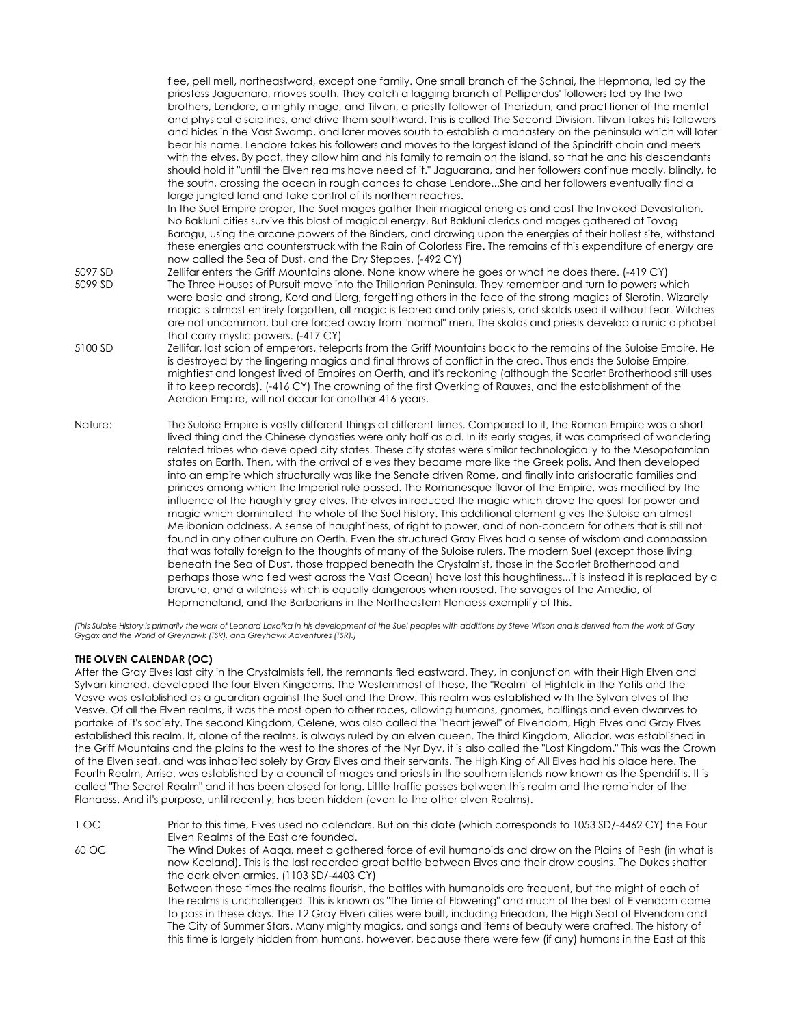flee, pell mell, northeastward, except one family. One small branch of the Schnai, the Hepmona, led by the priestess Jaguanara, moves south. They catch a lagging branch of Pellipardus' followers led by the two brothers, Lendore, a mighty mage, and Tilvan, a priestly follower of Tharizdun, and practitioner of the mental and physical disciplines, and drive them southward. This is called The Second Division. Tilvan takes his followers and hides in the Vast Swamp, and later moves south to establish a monastery on the peninsula which will later bear his name. Lendore takes his followers and moves to the largest island of the Spindrift chain and meets with the elves. By pact, they allow him and his family to remain on the island, so that he and his descendants should hold it "until the Elven realms have need of it." Jaguarana, and her followers continue madly, blindly, to the south, crossing the ocean in rough canoes to chase Lendore...She and her followers eventually find a large jungled land and take control of its northern reaches. In the Suel Empire proper, the Suel mages gather their magical energies and cast the Invoked Devastation. No Bakluni cities survive this blast of magical energy. But Bakluni clerics and mages gathered at Tovag Baragu, using the arcane powers of the Binders, and drawing upon the energies of their holiest site, withstand these energies and counterstruck with the Rain of Colorless Fire. The remains of this expenditure of energy are now called the Sea of Dust, and the Dry Steppes. (-492 CY) 5097 SD Zellifar enters the Griff Mountains alone. None know where he goes or what he does there. (-419 CY) 5099 SD The Three Houses of Pursuit move into the Thillonrian Peninsula. They remember and turn to powers which were basic and strong, Kord and Llerg, forgetting others in the face of the strong magics of Slerotin. Wizardly magic is almost entirely forgotten, all magic is feared and only priests, and skalds used it without fear. Witches are not uncommon, but are forced away from "normal" men. The skalds and priests develop a runic alphabet that carry mystic powers. (-417 CY) 5100 SD Zellifar, last scion of emperors, teleports from the Griff Mountains back to the remains of the Suloise Empire. He is destroyed by the lingering magics and final throws of conflict in the area. Thus ends the Suloise Empire, mightiest and longest lived of Empires on Oerth, and it's reckoning (although the Scarlet Brotherhood still uses it to keep records). (-416 CY) The crowning of the first Overking of Rauxes, and the establishment of the Aerdian Empire, will not occur for another 416 years. Nature: The Suloise Empire is vastly different things at different times. Compared to it, the Roman Empire was a short lived thing and the Chinese dynasties were only half as old. In its early stages, it was comprised of wandering related tribes who developed city states. These city states were similar technologically to the Mesopotamian states on Earth. Then, with the arrival of elves they became more like the Greek polis. And then developed into an empire which structurally was like the Senate driven Rome, and finally into aristocratic families and princes among which the Imperial rule passed. The Romanesque flavor of the Empire, was modified by the influence of the haughty grey elves. The elves introduced the magic which drove the quest for power and magic which dominated the whole of the Suel history. This additional element gives the Suloise an almost Melibonian oddness. A sense of haughtiness, of right to power, and of non-concern for others that is still not found in any other culture on Oerth. Even the structured Gray Elves had a sense of wisdom and compassion that was totally foreign to the thoughts of many of the Suloise rulers. The modern Suel (except those living beneath the Sea of Dust, those trapped beneath the Crystalmist, those in the Scarlet Brotherhood and perhaps those who fled west across the Vast Ocean) have lost this haughtiness...it is instead it is replaced by a bravura, and a wildness which is equally dangerous when roused. The savages of the Amedio, of Hepmonaland, and the Barbarians in the Northeastern Flanaess exemplify of this.

*(This Suloise History is primarily the work of Leonard Lakofka in his development of the Suel peoples with additions by Steve Wilson and is derived from the work of Gary Gygax and the World of Greyhawk (TSR), and Greyhawk Adventures (TSR).)* 

# **THE OLVEN CALENDAR (OC)**

After the Gray Elves last city in the Crystalmists fell, the remnants fled eastward. They, in conjunction with their High Elven and Sylvan kindred, developed the four Elven Kingdoms. The Westernmost of these, the "Realm" of Highfolk in the Yatils and the Vesve was established as a guardian against the Suel and the Drow. This realm was established with the Sylvan elves of the Vesve. Of all the Elven realms, it was the most open to other races, allowing humans, gnomes, halflings and even dwarves to partake of it's society. The second Kingdom, Celene, was also called the "heart jewel" of Elvendom, High Elves and Gray Elves established this realm. It, alone of the realms, is always ruled by an elven queen. The third Kingdom, Aliador, was established in the Griff Mountains and the plains to the west to the shores of the Nyr Dyv, it is also called the "Lost Kingdom." This was the Crown of the Elven seat, and was inhabited solely by Gray Elves and their servants. The High King of All Elves had his place here. The Fourth Realm, Arrisa, was established by a council of mages and priests in the southern islands now known as the Spendrifts. It is called "The Secret Realm" and it has been closed for long. Little traffic passes between this realm and the remainder of the Flanaess. And it's purpose, until recently, has been hidden (even to the other elven Realms).

1 OC Prior to this time, Elves used no calendars. But on this date (which corresponds to 1053 SD/-4462 CY) the Four Elven Realms of the East are founded.

60 OC The Wind Dukes of Aaqa, meet a gathered force of evil humanoids and drow on the Plains of Pesh (in what is now Keoland). This is the last recorded great battle between Elves and their drow cousins. The Dukes shatter the dark elven armies. (1103 SD/-4403 CY)

Between these times the realms flourish, the battles with humanoids are frequent, but the might of each of the realms is unchallenged. This is known as "The Time of Flowering" and much of the best of Elvendom came to pass in these days. The 12 Gray Elven cities were built, including Erieadan, the High Seat of Elvendom and The City of Summer Stars. Many mighty magics, and songs and items of beauty were crafted. The history of this time is largely hidden from humans, however, because there were few (if any) humans in the East at this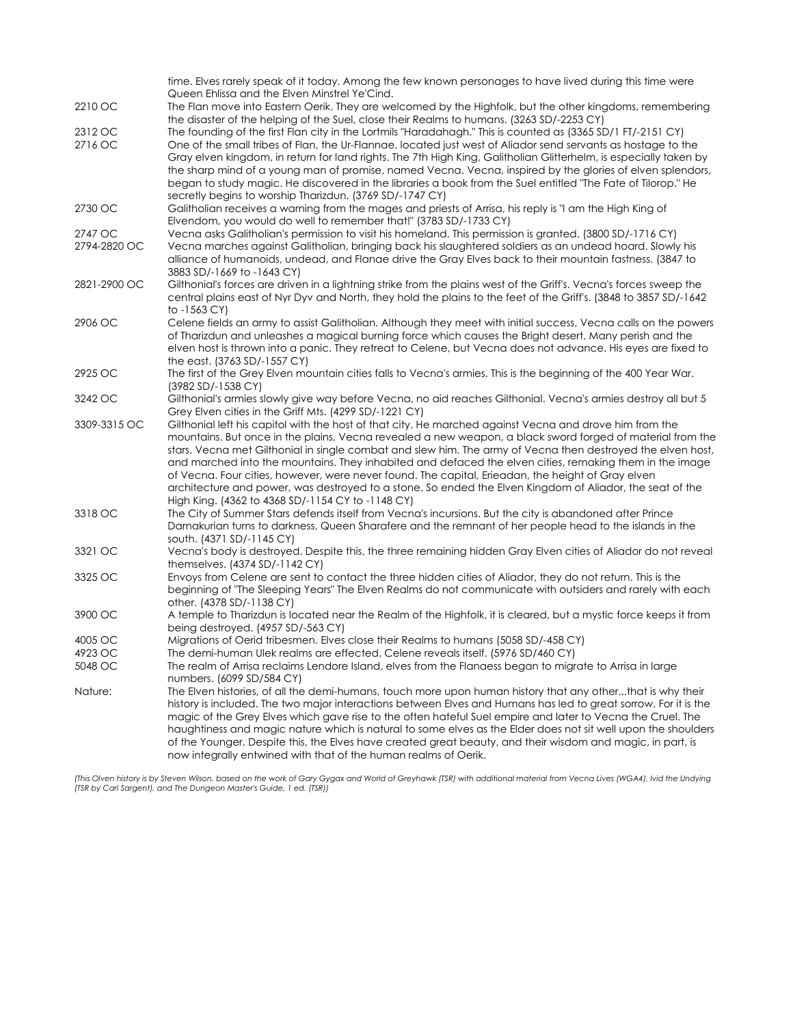|              | time. Elves rarely speak of it today. Among the few known personages to have lived during this time were<br>Queen Ehlissa and the Elven Minstrel Ye'Cind.                                                          |
|--------------|--------------------------------------------------------------------------------------------------------------------------------------------------------------------------------------------------------------------|
| 2210 OC      | The Flan move into Eastern Oerik. They are welcomed by the Highfolk, but the other kingdoms, remembering                                                                                                           |
|              | the disaster of the helping of the Suel, close their Realms to humans. (3263 SD/-2253 CY)                                                                                                                          |
| 2312 OC      | The founding of the first Flan city in the Lortmils "Haradahagh." This is counted as (3365 SD/1 FT/-2151 CY)                                                                                                       |
| 2716 OC      | One of the small tribes of Flan, the Ur-Flannae, located just west of Aliador send servants as hostage to the                                                                                                      |
|              | Gray elven kingdom, in return for land rights. The 7th High King, Galitholian Glitterhelm, is especially taken by                                                                                                  |
|              | the sharp mind of a young man of promise, named Vecna. Vecna, inspired by the glories of elven splendors,                                                                                                          |
|              | began to study magic. He discovered in the libraries a book from the Suel entitled "The Fate of Tilorop." He                                                                                                       |
|              | secretly begins to worship Tharizdun. (3769 SD/-1747 CY)                                                                                                                                                           |
| 2730 OC      | Galitholian receives a warning from the mages and priests of Arrisa, his reply is "I am the High King of                                                                                                           |
|              | Elvendom, you would do well to remember that!" (3783 SD/-1733 CY)                                                                                                                                                  |
| 2747 OC      | Vecna asks Galitholian's permission to visit his homeland. This permission is granted. (3800 SD/-1716 CY)                                                                                                          |
| 2794-2820 OC | Vecna marches against Galitholian, bringing back his slaughtered soldiers as an undead hoard. Slowly his                                                                                                           |
|              | alliance of humanoids, undead, and Flanae drive the Gray Elves back to their mountain fastness. (3847 to                                                                                                           |
|              | 3883 SD/-1669 to -1643 CY)                                                                                                                                                                                         |
| 2821-2900 OC | Gilthonial's forces are driven in a lightning strike from the plains west of the Griff's. Vecna's forces sweep the                                                                                                 |
|              | central plains east of Nyr Dyv and North, they hold the plains to the feet of the Griff's. (3848 to 3857 SD/-1642                                                                                                  |
|              | to -1563 CY)                                                                                                                                                                                                       |
| 2906 OC      | Celene fields an army to assist Galitholian. Although they meet with initial success, Vecna calls on the powers                                                                                                    |
|              | of Tharizdun and unleashes a magical burning force which causes the Bright desert. Many perish and the                                                                                                             |
|              | elven host is thrown into a panic. They retreat to Celene, but Vecna does not advance. His eyes are fixed to                                                                                                       |
|              | the east. (3763 SD/-1557 CY)                                                                                                                                                                                       |
| 2925 OC      | The first of the Grey Elven mountain cities falls to Vecna's armies. This is the beginning of the 400 Year War.                                                                                                    |
|              | (3982 SD/-1538 CY)                                                                                                                                                                                                 |
| 3242 OC      | Gilthonial's armies slowly give way before Vecna, no aid reaches Gilthonial. Vecna's armies destroy all but 5                                                                                                      |
|              | Grey Elven cities in the Griff Mts. (4299 SD/-1221 CY)                                                                                                                                                             |
| 3309-3315 OC | Gilthonial left his capitol with the host of that city. He marched against Vecna and drove him from the                                                                                                            |
|              | mountains. But once in the plains, Vecna revealed a new weapon, a black sword forged of material from the                                                                                                          |
|              | stars. Vecna met Gilthonial in single combat and slew him. The army of Vecna then destroyed the elven host,                                                                                                        |
|              | and marched into the mountains. They inhabited and defaced the elven cities, remaking them in the image                                                                                                            |
|              | of Vecna. Four cities, however, were never found. The capital, Erieadan, the height of Gray elven                                                                                                                  |
|              | architecture and power, was destroyed to a stone. So ended the Elven Kingdom of Aliador, the seat of the                                                                                                           |
| 3318 OC      | High King. (4362 to 4368 SD/-1154 CY to -1148 CY)                                                                                                                                                                  |
|              | The City of Summer Stars defends itself from Vecna's incursions. But the city is abandoned after Prince<br>Darnakurian turns to darkness. Queen Sharafere and the remnant of her people head to the islands in the |
|              | south. (4371 SD/-1145 CY)                                                                                                                                                                                          |
| 3321 OC      | Vecna's body is destroyed. Despite this, the three remaining hidden Gray Elven cities of Aliador do not reveal                                                                                                     |
|              | themselves. $(4374 SD/-1142 CY)$                                                                                                                                                                                   |
| 3325 OC      | Envoys from Celene are sent to contact the three hidden cities of Aliador, they do not return. This is the                                                                                                         |
|              | beginning of "The Sleeping Years" The Elven Realms do not communicate with outsiders and rarely with each                                                                                                          |
|              | other. (4378 SD/-1138 CY)                                                                                                                                                                                          |
| 3900 OC      | A temple to Tharizdun is located near the Realm of the Highfolk, it is cleared, but a mystic force keeps it from                                                                                                   |
|              | being destroyed. (4957 SD/-563 CY)                                                                                                                                                                                 |
| 4005 OC      | Migrations of Oerid tribesmen. Elves close their Realms to humans (5058 SD/-458 CY)                                                                                                                                |
| 4923 OC      | The demi-human Ulek realms are effected. Celene reveals itself. (5976 SD/460 CY)                                                                                                                                   |
| 5048 OC      | The realm of Arrisa reclaims Lendore Island, elves from the Flanaess began to migrate to Arrisa in large                                                                                                           |
|              | numbers. (6099 SD/584 CY)                                                                                                                                                                                          |
| Nature:      | The Elven histories, of all the demi-humans, touch more upon human history that any otherthat is why their                                                                                                         |
|              | history is included. The two major interactions between Elves and Humans has led to great sorrow. For it is the                                                                                                    |
|              | magic of the Grey Elves which gave rise to the often hateful Suel empire and later to Vecna the Cruel. The                                                                                                         |
|              | haughtiness and magic nature which is natural to some elves as the Elder does not sit well upon the shoulders                                                                                                      |
|              | of the Younger. Despite this, the Elves have created great beauty, and their wisdom and magic, in part, is                                                                                                         |
|              | now integrally entwined with that of the human realms of Oerik.                                                                                                                                                    |

(This Olven history is by Steven Wilson, based on the work of Gary Gygax and World of Greyhawk (TSR) with additional material from Vecna Lives (WGA4), lvid the Undying<br>(TSR by Carl Sargent), and The Dungeon Master's Guide,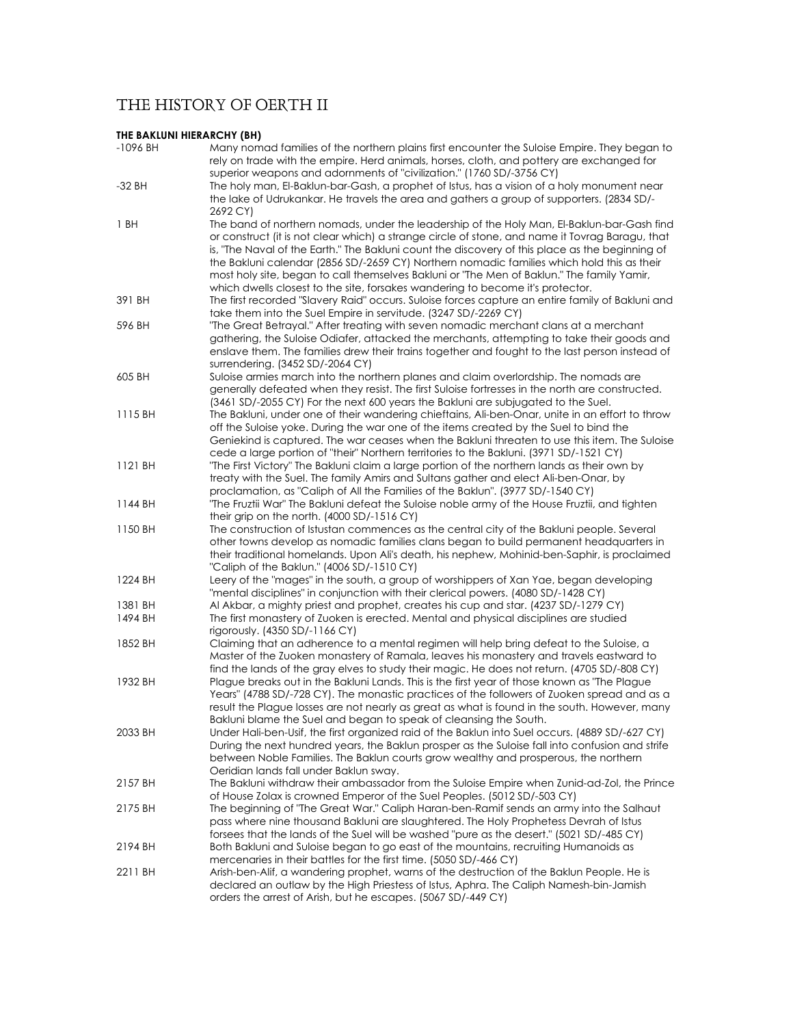# THE HISTORY OF OERTH II

# **THE BAKLUNI HIERARCHY (BH)**

| -1096 BH | Many nomad families of the northern plains first encounter the Suloise Empire. They began to<br>rely on trade with the empire. Herd animals, horses, cloth, and pottery are exchanged for<br>superior weapons and adornments of "civilization." (1760 SD/-3756 CY)                                                                                                                                                                                                                                                                                                             |
|----------|--------------------------------------------------------------------------------------------------------------------------------------------------------------------------------------------------------------------------------------------------------------------------------------------------------------------------------------------------------------------------------------------------------------------------------------------------------------------------------------------------------------------------------------------------------------------------------|
| -32 BH   | The holy man, El-Baklun-bar-Gash, a prophet of Istus, has a vision of a holy monument near<br>the lake of Udrukankar. He travels the area and gathers a group of supporters. (2834 SD/-<br>2692 CY)                                                                                                                                                                                                                                                                                                                                                                            |
| 1 BH     | The band of northern nomads, under the leadership of the Holy Man, El-Baklun-bar-Gash find<br>or construct (it is not clear which) a strange circle of stone, and name it Tovrag Baragu, that<br>is, "The Naval of the Earth." The Bakluni count the discovery of this place as the beginning of<br>the Bakluni calendar (2856 SD/-2659 CY) Northern nomadic families which hold this as their<br>most holy site, began to call themselves Bakluni or "The Men of Baklun." The family Yamir,<br>which dwells closest to the site, forsakes wandering to become it's protector. |
| 391 BH   | The first recorded "Slavery Raid" occurs. Suloise forces capture an entire family of Bakluni and<br>take them into the Suel Empire in servitude. (3247 SD/-2269 CY)                                                                                                                                                                                                                                                                                                                                                                                                            |
| 596 BH   | "The Great Betrayal." After treating with seven nomadic merchant clans at a merchant<br>gathering, the Suloise Odiafer, attacked the merchants, attempting to take their goods and<br>enslave them. The families drew their trains together and fought to the last person instead of<br>surrendering. (3452 SD/-2064 CY)                                                                                                                                                                                                                                                       |
| 605 BH   | Suloise armies march into the northern planes and claim overlordship. The nomads are<br>generally defeated when they resist. The first Suloise fortresses in the north are constructed.                                                                                                                                                                                                                                                                                                                                                                                        |
| 1115 BH  | (3461 SD/-2055 CY) For the next 600 years the Bakluni are subjugated to the Suel.<br>The Bakluni, under one of their wandering chieftains, Ali-ben-Onar, unite in an effort to throw<br>off the Suloise yoke. During the war one of the items created by the Suel to bind the<br>Geniekind is captured. The war ceases when the Bakluni threaten to use this item. The Suloise<br>cede a large portion of "their" Northern territories to the Bakluni. (3971 SD/-1521 CY)                                                                                                      |
| 1121 BH  | "The First Victory" The Bakluni claim a large portion of the northern lands as their own by<br>treaty with the Suel. The family Amirs and Sultans gather and elect Ali-ben-Onar, by<br>proclamation, as "Caliph of All the Families of the Baklun". (3977 SD/-1540 CY)                                                                                                                                                                                                                                                                                                         |
| 1144 BH  | "The Fruztii War" The Bakluni defeat the Suloise noble army of the House Fruztii, and tighten<br>their grip on the north. $(4000 SD/-1516 CY)$                                                                                                                                                                                                                                                                                                                                                                                                                                 |
| 1150 BH  | The construction of Istustan commences as the central city of the Bakluni people. Several<br>other towns develop as nomadic families clans began to build permanent headquarters in<br>their traditional homelands. Upon Ali's death, his nephew, Mohinid-ben-Saphir, is proclaimed<br>"Caliph of the Baklun." (4006 SD/-1510 CY)                                                                                                                                                                                                                                              |
| 1224 BH  | Leery of the "mages" in the south, a group of worshippers of Xan Yae, began developing<br>"mental disciplines" in conjunction with their clerical powers. (4080 SD/-1428 CY)                                                                                                                                                                                                                                                                                                                                                                                                   |
| 1381 BH  | Al Akbar, a mighty priest and prophet, creates his cup and star. (4237 SD/-1279 CY)                                                                                                                                                                                                                                                                                                                                                                                                                                                                                            |
| 1494 BH  | The first monastery of Zuoken is erected. Mental and physical disciplines are studied<br>rigorously. $(4350 SD/-1166 CY)$                                                                                                                                                                                                                                                                                                                                                                                                                                                      |
| 1852 BH  | Claiming that an adherence to a mental regimen will help bring defeat to the Suloise, a<br>Master of the Zuoken monastery of Ramala, leaves his monastery and travels eastward to<br>find the lands of the gray elves to study their magic. He does not return. (4705 SD/-808 CY)                                                                                                                                                                                                                                                                                              |
| 1932 BH  | Plague breaks out in the Bakluni Lands. This is the first year of those known as "The Plague"<br>Years" (4788 SD/-728 CY). The monastic practices of the followers of Zuoken spread and as a<br>result the Plague losses are not nearly as great as what is found in the south. However, many<br>Bakluni blame the Suel and began to speak of cleansing the South.                                                                                                                                                                                                             |
| 2033 BH  | Under Hali-ben-Usif, the first organized raid of the Baklun into Suel occurs. (4889 SD/-627 CY)<br>During the next hundred years, the Baklun prosper as the Suloise fall into confusion and strife<br>between Noble Families. The Baklun courts grow wealthy and prosperous, the northern<br>Oeridian lands fall under Baklun sway.                                                                                                                                                                                                                                            |
| 2157 BH  | The Bakluni withdraw their ambassador from the Suloise Empire when Zunid-ad-Zol, the Prince<br>of House Zolax is crowned Emperor of the Suel Peoples. (5012 SD/-503 CY)                                                                                                                                                                                                                                                                                                                                                                                                        |
| 2175 BH  | The beginning of "The Great War." Caliph Haran-ben-Ramif sends an army into the Salhaut<br>pass where nine thousand Bakluni are slaughtered. The Holy Prophetess Devrah of Istus<br>forsees that the lands of the Suel will be washed "pure as the desert." (5021 SD/-485 CY)                                                                                                                                                                                                                                                                                                  |
| 2194 BH  | Both Bakluni and Suloise began to go east of the mountains, recruiting Humanoids as<br>mercenaries in their battles for the first time. (5050 SD/-466 CY)                                                                                                                                                                                                                                                                                                                                                                                                                      |
| 2211 BH  | Arish-ben-Alif, a wandering prophet, warns of the destruction of the Baklun People. He is<br>declared an outlaw by the High Priestess of Istus, Aphra. The Caliph Namesh-bin-Jamish<br>orders the arrest of Arish, but he escapes. (5067 SD/-449 CY)                                                                                                                                                                                                                                                                                                                           |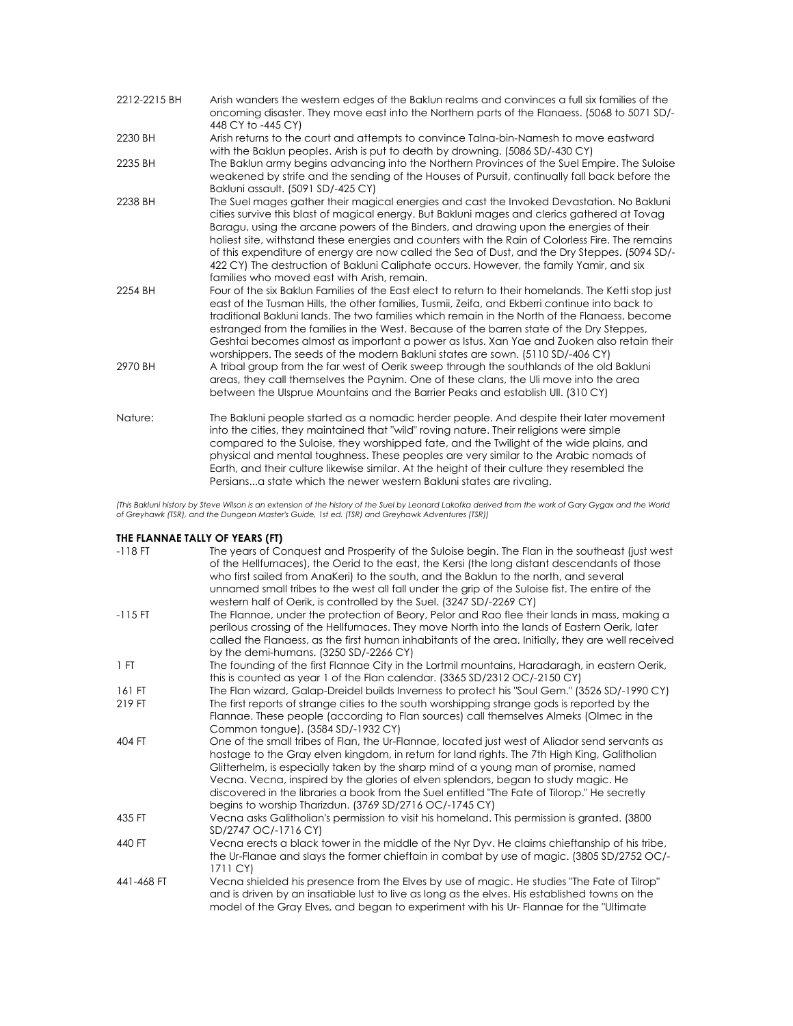| 2212-2215 BH | Arish wanders the western edges of the Baklun realms and convinces a full six families of the<br>oncoming disaster. They move east into the Northern parts of the Flandess. (5068 to 5071 SD/-<br>448 CY to -445 CY)                                                                                                                                                                                                                                                                                                                                                                                                               |
|--------------|------------------------------------------------------------------------------------------------------------------------------------------------------------------------------------------------------------------------------------------------------------------------------------------------------------------------------------------------------------------------------------------------------------------------------------------------------------------------------------------------------------------------------------------------------------------------------------------------------------------------------------|
| 2230 BH      | Arish returns to the court and attempts to convince Talna-bin-Namesh to move eastward<br>with the Baklun peoples. Arish is put to death by drowning. (5086 SD/-430 CY)                                                                                                                                                                                                                                                                                                                                                                                                                                                             |
| 2235 BH      | The Baklun army begins advancing into the Northern Provinces of the Suel Empire. The Suloise<br>weakened by strife and the sending of the Houses of Pursuit, continually fall back before the<br>Bakluni assault. (5091 SD/-425 CY)                                                                                                                                                                                                                                                                                                                                                                                                |
| 2238 BH      | The Suel mages gather their magical energies and cast the Invoked Devastation. No Bakluni<br>cities survive this blast of magical energy. But Bakluni mages and clerics gathered at Tovag<br>Baragu, using the arcane powers of the Binders, and drawing upon the energies of their<br>holiest site, withstand these energies and counters with the Rain of Colorless Fire. The remains<br>of this expenditure of energy are now called the Sea of Dust, and the Dry Steppes. (5094 SD/-<br>422 CY) The destruction of Bakluni Caliphate occurs. However, the family Yamir, and six<br>families who moved east with Arish, remain. |
| 2254 BH      | Four of the six Baklun Families of the East elect to return to their homelands. The Ketti stop just<br>east of the Tusman Hills, the other families, Tusmii, Zeifa, and Ekberri continue into back to<br>traditional Bakluni lands. The two families which remain in the North of the Flangess, become<br>estranged from the families in the West. Because of the barren state of the Dry Steppes,<br>Geshtai becomes almost as important a power as Istus. Xan Yae and Zuoken also retain their<br>worshippers. The seeds of the modern Bakluni states are sown. (5110 SD/-406 CY)                                                |
| 2970 BH      | A tribal group from the far west of Oerik sweep through the southlands of the old Bakluni<br>areas, they call themselves the Paynim. One of these clans, the Uli move into the area<br>between the Ulsprue Mountains and the Barrier Peaks and establish Ull. (310 CY)                                                                                                                                                                                                                                                                                                                                                             |
| Nature:      | The Bakluni people started as a nomadic herder people. And despite their later movement<br>into the cities, they maintained that "wild" roving nature. Their religions were simple<br>compared to the Suloise, they worshipped fate, and the Twilight of the wide plains, and<br>physical and mental toughness. These peoples are very similar to the Arabic nomads of<br>Earth, and their culture likewise similar. At the height of their culture they resembled the<br>Persiansa state which the newer western Bakluni states are rivaling.                                                                                     |

(This Bakluni history by Steve Wilson is an extension of the history of the Suel by Leonard Lakofka derived from the work of Gary Gygax and the World<br>of Greyhawk (TSR), and the Dungeon Master's Guide, 1st ed. (TSR) and Gre

## **THE FLANNAE TALLY OF YEARS (FT)**

| $-118$ FT  | The years of Conquest and Prosperity of the Suloise begin. The Flan in the southeast (just west<br>of the Hellfurnaces), the Oerid to the east, the Kersi (the long distant descendants of those<br>who first sailed from AnaKeri) to the south, and the Baklun to the north, and several<br>unnamed small tribes to the west all fall under the grip of the Suloise fist. The entire of the<br>western half of Oerik, is controlled by the Suel. (3247 SD/-2269 CY)                                                                   |
|------------|----------------------------------------------------------------------------------------------------------------------------------------------------------------------------------------------------------------------------------------------------------------------------------------------------------------------------------------------------------------------------------------------------------------------------------------------------------------------------------------------------------------------------------------|
| $-115$ FT  | The Flannae, under the protection of Beory, Pelor and Rao flee their lands in mass, making a<br>perilous crossing of the Hellfurnaces. They move North into the lands of Eastern Oerik, later<br>called the Flangess, as the first human inhabitants of the area. Initially, they are well received<br>by the demi-humans. $(3250 SD/-2266 CY)$                                                                                                                                                                                        |
| 1 FT       | The founding of the first Flannae City in the Lortmil mountains, Haradaragh, in eastern Oerik,<br>this is counted as year 1 of the Flan calendar. (3365 SD/2312 OC/-2150 CY)                                                                                                                                                                                                                                                                                                                                                           |
| 161 FT     | The Flan wizard, Galap-Dreidel builds Inverness to protect his "Soul Gem." (3526 SD/-1990 CY)                                                                                                                                                                                                                                                                                                                                                                                                                                          |
| 219 FT     | The first reports of strange cities to the south worshipping strange gods is reported by the<br>Flannae. These people (according to Flan sources) call themselves Almeks (Olmec in the<br>Common tongue). (3584 SD/-1932 CY)                                                                                                                                                                                                                                                                                                           |
| 404 FT     | One of the small tribes of Flan, the Ur-Flannae, located just west of Aliador send servants as<br>hostage to the Gray elven kingdom, in return for land rights. The 7th High King, Galitholian<br>Glitterhelm, is especially taken by the sharp mind of a young man of promise, named<br>Vecna. Vecna, inspired by the glories of elven splendors, began to study magic. He<br>discovered in the libraries a book from the Suel entitled "The Fate of Tilorop." He secretly<br>begins to worship Tharizdun. (3769 SD/2716 OC/-1745 CY) |
| 435 FT     | Vecna asks Galitholian's permission to visit his homeland. This permission is granted. (3800)<br>SD/2747 OC/-1716 CY)                                                                                                                                                                                                                                                                                                                                                                                                                  |
| 440 FT     | Vecna erects a black tower in the middle of the Nyr Dyv. He claims chieftanship of his tribe,<br>the Ur-Flange and slays the former chieftain in combat by use of magic. (3805 SD/2752 OC/-<br>1711 CY)                                                                                                                                                                                                                                                                                                                                |
| 441-468 FT | Vecna shielded his presence from the Elves by use of magic. He studies "The Fate of Tilrop"<br>and is driven by an insatiable lust to live as long as the elves. His established towns on the<br>model of the Gray Elves, and began to experiment with his Ur- Flannae for the "Ultimate"                                                                                                                                                                                                                                              |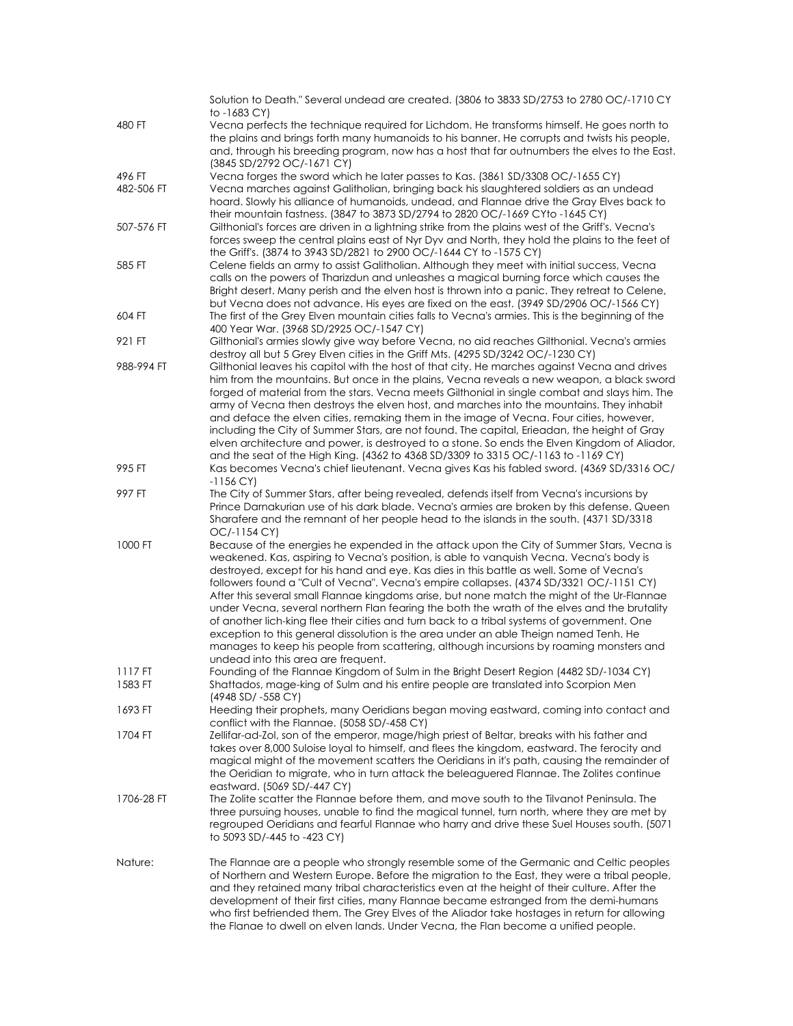|                      | Solution to Death." Several undead are created. (3806 to 3833 SD/2753 to 2780 OC/-1710 CY<br>to -1683 CY)                                                                                                                                                                                                                                                                                                                                                                                                                                                                                                                                                                                                                                                                                                                                                                                            |
|----------------------|------------------------------------------------------------------------------------------------------------------------------------------------------------------------------------------------------------------------------------------------------------------------------------------------------------------------------------------------------------------------------------------------------------------------------------------------------------------------------------------------------------------------------------------------------------------------------------------------------------------------------------------------------------------------------------------------------------------------------------------------------------------------------------------------------------------------------------------------------------------------------------------------------|
| 480 FT               | Vecna perfects the technique required for Lichdom. He transforms himself. He goes north to<br>the plains and brings forth many humanoids to his banner. He corrupts and twists his people,<br>and, through his breeding program, now has a host that far outnumbers the elves to the East.<br>(3845 SD/2792 OC/-1671 CY)                                                                                                                                                                                                                                                                                                                                                                                                                                                                                                                                                                             |
| 496 FT<br>482-506 FT | Vecna forges the sword which he later passes to Kas. (3861 SD/3308 OC/-1655 CY)<br>Vecna marches against Galitholian, bringing back his slaughtered soldiers as an undead<br>hoard. Slowly his alliance of humanoids, undead, and Flannae drive the Gray Elves back to<br>their mountain fastness. (3847 to 3873 SD/2794 to 2820 OC/-1669 CYto -1645 CY)                                                                                                                                                                                                                                                                                                                                                                                                                                                                                                                                             |
| 507-576 FT           | Gilthonial's forces are driven in a lightning strike from the plains west of the Griff's. Vecna's<br>forces sweep the central plains east of Nyr Dyv and North, they hold the plains to the feet of<br>the Griff's. (3874 to 3943 SD/2821 to 2900 OC/-1644 CY to -1575 CY)                                                                                                                                                                                                                                                                                                                                                                                                                                                                                                                                                                                                                           |
| 585 FT               | Celene fields an army to assist Galitholian. Although they meet with initial success, Vecna<br>calls on the powers of Tharizdun and unleashes a magical burning force which causes the<br>Bright desert. Many perish and the elven host is thrown into a panic. They retreat to Celene,<br>but Vecna does not advance. His eyes are fixed on the east. (3949 SD/2906 OC/-1566 CY)                                                                                                                                                                                                                                                                                                                                                                                                                                                                                                                    |
| 604 FT               | The first of the Grey Elven mountain cities falls to Vecna's armies. This is the beginning of the<br>400 Year War. (3968 SD/2925 OC/-1547 CY)                                                                                                                                                                                                                                                                                                                                                                                                                                                                                                                                                                                                                                                                                                                                                        |
| 921 FT               | Gilthonial's armies slowly give way before Vecna, no aid reaches Gilthonial. Vecna's armies<br>destroy all but 5 Grey Elven cities in the Griff Mts. (4295 SD/3242 OC/-1230 CY)                                                                                                                                                                                                                                                                                                                                                                                                                                                                                                                                                                                                                                                                                                                      |
| 988-994 FT           | Gilthonial leaves his capitol with the host of that city. He marches against Vecna and drives<br>him from the mountains. But once in the plains, Vecna reveals a new weapon, a black sword<br>forged of material from the stars. Vecna meets Gilthonial in single combat and slays him. The<br>army of Vecna then destroys the elven host, and marches into the mountains. They inhabit<br>and deface the elven cities, remaking them in the image of Vecna. Four cities, however,<br>including the City of Summer Stars, are not found. The capital, Erieadan, the height of Gray<br>elven architecture and power, is destroyed to a stone. So ends the Elven Kingdom of Aliador,<br>and the seat of the High King. (4362 to 4368 SD/3309 to 3315 OC/-1163 to -1169 CY)                                                                                                                             |
| 995 FT               | Kas becomes Vecna's chief lieutenant. Vecna gives Kas his fabled sword. (4369 SD/3316 OC/<br>-1156 CY)                                                                                                                                                                                                                                                                                                                                                                                                                                                                                                                                                                                                                                                                                                                                                                                               |
| 997 FT               | The City of Summer Stars, after being revealed, defends itself from Vecna's incursions by<br>Prince Darnakurian use of his dark blade. Vecna's armies are broken by this defense. Queen<br>Sharafere and the remnant of her people head to the islands in the south. (4371 SD/3318<br>OC/-1154 CY)                                                                                                                                                                                                                                                                                                                                                                                                                                                                                                                                                                                                   |
| 1000 FT              | Because of the energies he expended in the attack upon the City of Summer Stars, Vecna is<br>weakened. Kas, aspiring to Vecna's position, is able to vanquish Vecna. Vecna's body is<br>destroyed, except for his hand and eye. Kas dies in this battle as well. Some of Vecna's<br>followers found a "Cult of Vecna". Vecna's empire collapses. (4374 SD/3321 OC/-1151 CY)<br>After this several small Flannae kingdoms arise, but none match the might of the Ur-Flannae<br>under Vecna, several northern Flan fearing the both the wrath of the elves and the brutality<br>of another lich-king flee their cities and turn back to a tribal systems of government. One<br>exception to this general dissolution is the area under an able Theign named Tenh. He<br>manages to keep his people from scattering, although incursions by roaming monsters and<br>undead into this area are frequent. |
| 1117 FT              | Founding of the Flannae Kingdom of Sulm in the Bright Desert Region (4482 SD/-1034 CY)                                                                                                                                                                                                                                                                                                                                                                                                                                                                                                                                                                                                                                                                                                                                                                                                               |
| 1583 FT              | Shattados, mage-king of Sulm and his entire people are translated into Scorpion Men<br>(4948 SD/ -558 CY)                                                                                                                                                                                                                                                                                                                                                                                                                                                                                                                                                                                                                                                                                                                                                                                            |
| 1693 FT              | Heeding their prophets, many Oeridians began moving eastward, coming into contact and<br>conflict with the Flannae. (5058 SD/-458 CY)                                                                                                                                                                                                                                                                                                                                                                                                                                                                                                                                                                                                                                                                                                                                                                |
| 1704 FT              | Zellifar-ad-Zol, son of the emperor, mage/high priest of Beltar, breaks with his father and<br>takes over 8,000 Suloise loyal to himself, and flees the kingdom, eastward. The ferocity and<br>magical might of the movement scatters the Oeridians in it's path, causing the remainder of<br>the Oeridian to migrate, who in turn attack the beleaguered Flannae. The Zolites continue<br>eastward. (5069 SD/-447 CY)                                                                                                                                                                                                                                                                                                                                                                                                                                                                               |
| 1706-28 FT           | The Zolite scatter the Flannae before them, and move south to the Tilvanot Peninsula. The<br>three pursuing houses, unable to find the magical tunnel, turn north, where they are met by<br>regrouped Oeridians and fearful Flannae who harry and drive these Suel Houses south. (5071<br>to 5093 SD/-445 to -423 CY)                                                                                                                                                                                                                                                                                                                                                                                                                                                                                                                                                                                |
| Nature:              | The Flannae are a people who strongly resemble some of the Germanic and Celtic peoples<br>of Northern and Western Europe. Before the migration to the East, they were a tribal people,<br>and they retained many tribal characteristics even at the height of their culture. After the<br>development of their first cities, many Flannae became estranged from the demi-humans<br>who first befriended them. The Grey Elves of the Aliador take hostages in return for allowing<br>the Flanae to dwell on elven lands. Under Vecna, the Flan become a unified people.                                                                                                                                                                                                                                                                                                                               |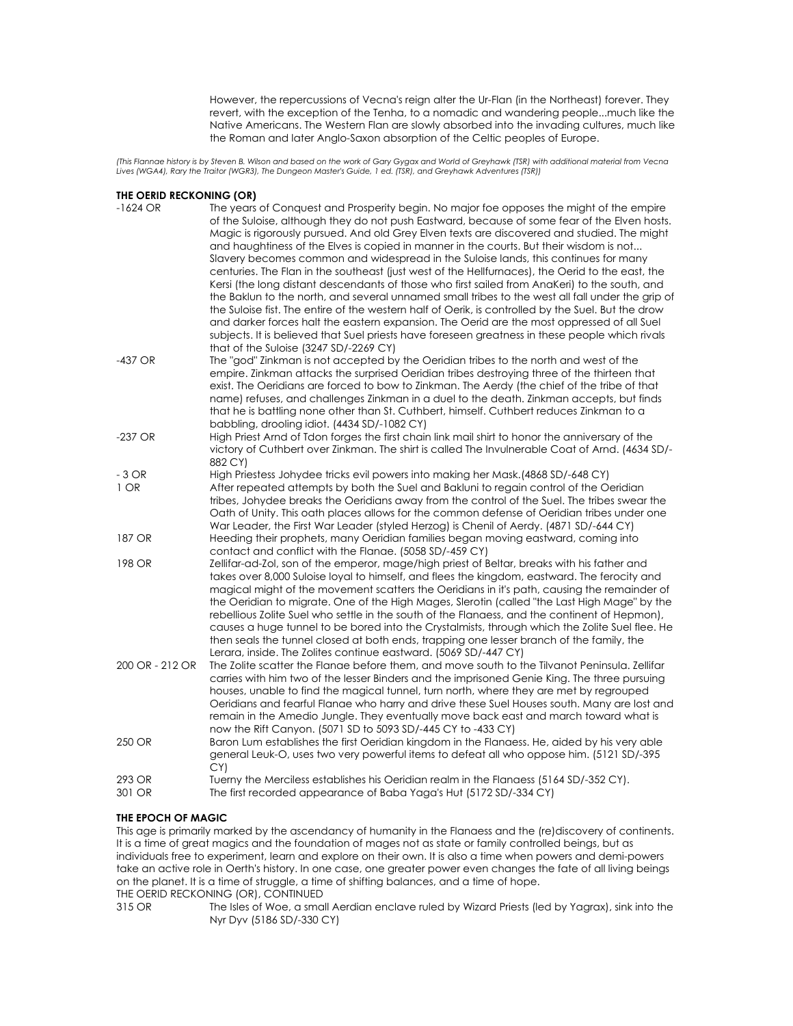However, the repercussions of Vecna's reign alter the Ur-Flan (in the Northeast) forever. They revert, with the exception of the Tenha, to a nomadic and wandering people...much like the Native Americans. The Western Flan are slowly absorbed into the invading cultures, much like the Roman and later Anglo-Saxon absorption of the Celtic peoples of Europe.

(This Flannae history is by Steven B. Wilson and based on the work of Gary Gygax and World of Greyhawk (TSR) with additional material from Vecna<br>Lives (WGA4), Rary the Traitor (WGR3), The Dungeon Master's Guide, 1 ed. (TSR

#### **THE OERID RECKONING (OR)**

| $-1624$ OR      | The years of Conquest and Prosperity begin. No major foe opposes the might of the empire<br>of the Suloise, although they do not push Eastward, because of some fear of the Elven hosts.<br>Magic is rigorously pursued. And old Grey Elven texts are discovered and studied. The might<br>and haughtiness of the Elves is copied in manner in the courts. But their wisdom is not<br>Slavery becomes common and widespread in the Suloise lands, this continues for many<br>centuries. The Flan in the southeast (just west of the Hellfurnaces), the Oerid to the east, the<br>Kersi (the long distant descendants of those who first sailed from AnaKeri) to the south, and<br>the Baklun to the north, and several unnamed small tribes to the west all fall under the grip of<br>the Suloise fist. The entire of the western half of Oerik, is controlled by the Suel. But the drow<br>and darker forces halt the eastern expansion. The Oerid are the most oppressed of all Suel<br>subjects. It is believed that Suel priests have foreseen greatness in these people which rivals<br>that of the Suloise (3247 SD/-2269 CY) |
|-----------------|-------------------------------------------------------------------------------------------------------------------------------------------------------------------------------------------------------------------------------------------------------------------------------------------------------------------------------------------------------------------------------------------------------------------------------------------------------------------------------------------------------------------------------------------------------------------------------------------------------------------------------------------------------------------------------------------------------------------------------------------------------------------------------------------------------------------------------------------------------------------------------------------------------------------------------------------------------------------------------------------------------------------------------------------------------------------------------------------------------------------------------------|
| -437 OR         | The "god" Zinkman is not accepted by the Oeridian tribes to the north and west of the<br>empire. Zinkman attacks the surprised Oeridian tribes destroying three of the thirteen that<br>exist. The Oeridians are forced to bow to Zinkman. The Aerdy (the chief of the tribe of that<br>name) refuses, and challenges Zinkman in a duel to the death. Zinkman accepts, but finds<br>that he is battling none other than St. Cuthbert, himself. Cuthbert reduces Zinkman to a<br>babbling, drooling idiot. (4434 SD/-1082 CY)                                                                                                                                                                                                                                                                                                                                                                                                                                                                                                                                                                                                        |
| $-237$ OR       | High Priest Arnd of Tdon forges the first chain link mail shirt to honor the anniversary of the<br>victory of Cuthbert over Zinkman. The shirt is called The Invulnerable Coat of Arnd. (4634 SD/-<br>882 CY)                                                                                                                                                                                                                                                                                                                                                                                                                                                                                                                                                                                                                                                                                                                                                                                                                                                                                                                       |
| $-3$ OR         | High Priestess Johydee tricks evil powers into making her Mask.(4868 SD/-648 CY)                                                                                                                                                                                                                                                                                                                                                                                                                                                                                                                                                                                                                                                                                                                                                                                                                                                                                                                                                                                                                                                    |
| $1$ OR          | After repeated attempts by both the Suel and Bakluni to regain control of the Oeridian<br>tribes, Johydee breaks the Oeridians away from the control of the Suel. The tribes swear the<br>Oath of Unity. This oath places allows for the common defense of Oeridian tribes under one<br>War Leader, the First War Leader (styled Herzog) is Chenil of Aerdy. (4871 SD/-644 CY)                                                                                                                                                                                                                                                                                                                                                                                                                                                                                                                                                                                                                                                                                                                                                      |
| 187 OR          | Heeding their prophets, many Oeridian families began moving eastward, coming into<br>contact and conflict with the Flanae. (5058 SD/-459 CY)                                                                                                                                                                                                                                                                                                                                                                                                                                                                                                                                                                                                                                                                                                                                                                                                                                                                                                                                                                                        |
| 198 OR          | Zellifar-ad-Zol, son of the emperor, mage/high priest of Beltar, breaks with his father and<br>takes over 8,000 Suloise loyal to himself, and flees the kingdom, eastward. The ferocity and<br>magical might of the movement scatters the Oeridians in it's path, causing the remainder of<br>the Oeridian to migrate. One of the High Mages, Slerotin (called "the Last High Mage" by the<br>rebellious Zolite Suel who settle in the south of the Flanaess, and the continent of Hepmon),<br>causes a huge tunnel to be bored into the Crystalmists, through which the Zolite Suel flee. He<br>then seals the tunnel closed at both ends, trapping one lesser branch of the family, the<br>Lerara, inside. The Zolites continue eastward. (5069 SD/-447 CY)                                                                                                                                                                                                                                                                                                                                                                       |
| 200 OR - 212 OR | The Zolite scatter the Flanae before them, and move south to the Tilvanot Peninsula. Zellifar<br>carries with him two of the lesser Binders and the imprisoned Genie King. The three pursuing<br>houses, unable to find the magical tunnel, turn north, where they are met by regrouped<br>Oeridians and fearful Flanae who harry and drive these Suel Houses south. Many are lost and<br>remain in the Amedio Jungle. They eventually move back east and march toward what is<br>now the Rift Canyon. (5071 SD to 5093 SD/-445 CY to -433 CY)                                                                                                                                                                                                                                                                                                                                                                                                                                                                                                                                                                                      |
| 250 OR          | Baron Lum establishes the first Oeridian kingdom in the Flanaess. He, aided by his very able<br>general Leuk-O, uses two very powerful items to defeat all who oppose him. (5121 SD/-395<br>CY)                                                                                                                                                                                                                                                                                                                                                                                                                                                                                                                                                                                                                                                                                                                                                                                                                                                                                                                                     |
| 293 OR          | Tuerny the Merciless establishes his Oeridian realm in the Flanaess (5164 SD/-352 CY).                                                                                                                                                                                                                                                                                                                                                                                                                                                                                                                                                                                                                                                                                                                                                                                                                                                                                                                                                                                                                                              |
| 301 OR          | The first recorded appearance of Baba Yaga's Hut (5172 SD/-334 CY)                                                                                                                                                                                                                                                                                                                                                                                                                                                                                                                                                                                                                                                                                                                                                                                                                                                                                                                                                                                                                                                                  |

### **THE EPOCH OF MAGIC**

This age is primarily marked by the ascendancy of humanity in the Flanaess and the (re)discovery of continents. It is a time of great magics and the foundation of mages not as state or family controlled beings, but as individuals free to experiment, learn and explore on their own. It is also a time when powers and demi-powers take an active role in Oerth's history. In one case, one greater power even changes the fate of all living beings on the planet. It is a time of struggle, a time of shifting balances, and a time of hope.

THE OERID RECKONING (OR), CONTINUED<br>315 OR The Isles of Woe, a sma The Isles of Woe, a small Aerdian enclave ruled by Wizard Priests (led by Yagrax), sink into the Nyr Dyv (5186 SD/-330 CY)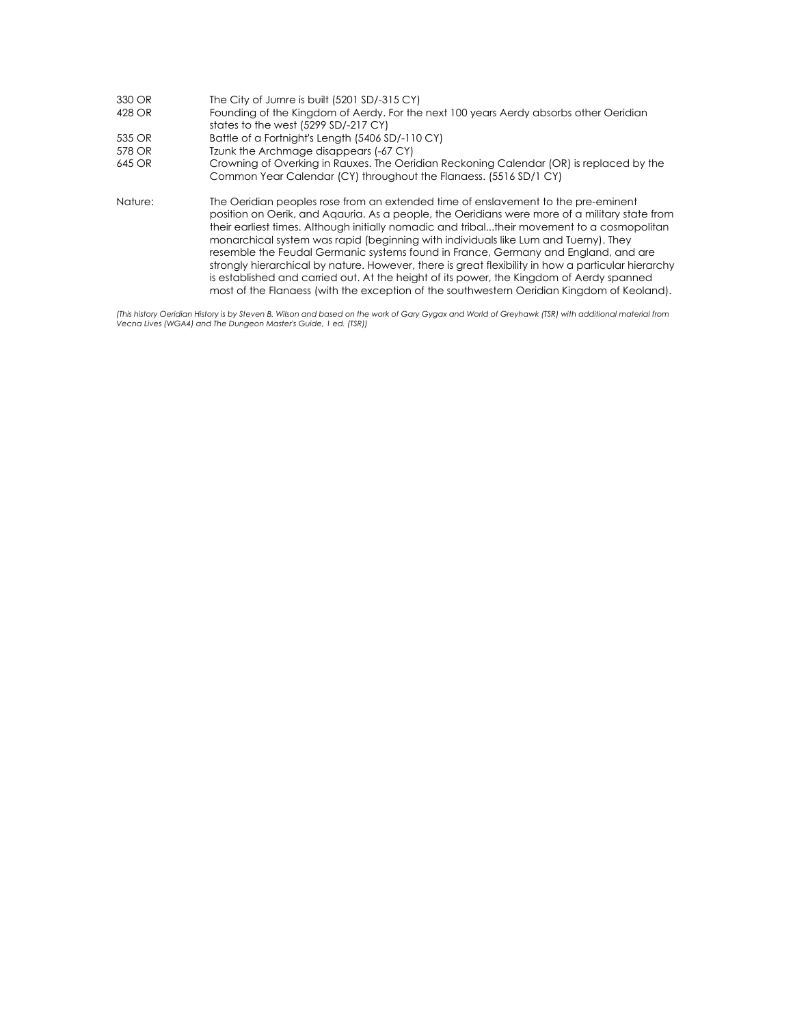| 330 OR  | The City of Jurnre is built (5201 SD/-315 CY)                                                                                                                                                                                                                                                                                                                                                                                                                                                                                                                                                                                                                                                                                                                  |
|---------|----------------------------------------------------------------------------------------------------------------------------------------------------------------------------------------------------------------------------------------------------------------------------------------------------------------------------------------------------------------------------------------------------------------------------------------------------------------------------------------------------------------------------------------------------------------------------------------------------------------------------------------------------------------------------------------------------------------------------------------------------------------|
| 428 OR  | Founding of the Kingdom of Aerdy. For the next 100 years Aerdy absorbs other Oeridian                                                                                                                                                                                                                                                                                                                                                                                                                                                                                                                                                                                                                                                                          |
|         | states to the west (5299 SD/-217 CY)                                                                                                                                                                                                                                                                                                                                                                                                                                                                                                                                                                                                                                                                                                                           |
| 535 OR  | Battle of a Fortnight's Length (5406 SD/-110 CY)                                                                                                                                                                                                                                                                                                                                                                                                                                                                                                                                                                                                                                                                                                               |
| 578 OR  | Tzunk the Archmage disappears (-67 CY)                                                                                                                                                                                                                                                                                                                                                                                                                                                                                                                                                                                                                                                                                                                         |
| 645 OR  | Crowning of Overking in Rauxes. The Oeridian Reckoning Calendar (OR) is replaced by the                                                                                                                                                                                                                                                                                                                                                                                                                                                                                                                                                                                                                                                                        |
|         | Common Year Calendar (CY) throughout the Flanaess. (5516 SD/1 CY)                                                                                                                                                                                                                                                                                                                                                                                                                                                                                                                                                                                                                                                                                              |
| Nature: | The Oeridian peoples rose from an extended time of enslavement to the pre-eminent<br>position on Oerik, and Agauria. As a people, the Oeridians were more of a military state from<br>their earliest times. Although initially nomadic and tribaltheir movement to a cosmopolitan<br>monarchical system was rapid (beginning with individuals like Lum and Tuerny). They<br>resemble the Feudal Germanic systems found in France, Germany and England, and are<br>strongly hierarchical by nature. However, there is great flexibility in how a particular hierarchy<br>is established and carried out. At the height of its power, the Kingdom of Aerdy spanned<br>most of the Flangess (with the exception of the southwestern Oeridian Kingdom of Keoland). |

(This history Oeridian History is by Steven B. Wilson and based on the work of Gary Gygax and World of Greyhawk (TSR) with additional material from<br>Vecna Lives (WGA4) and The Dungeon Master's Guide, 1 ed. (TSR))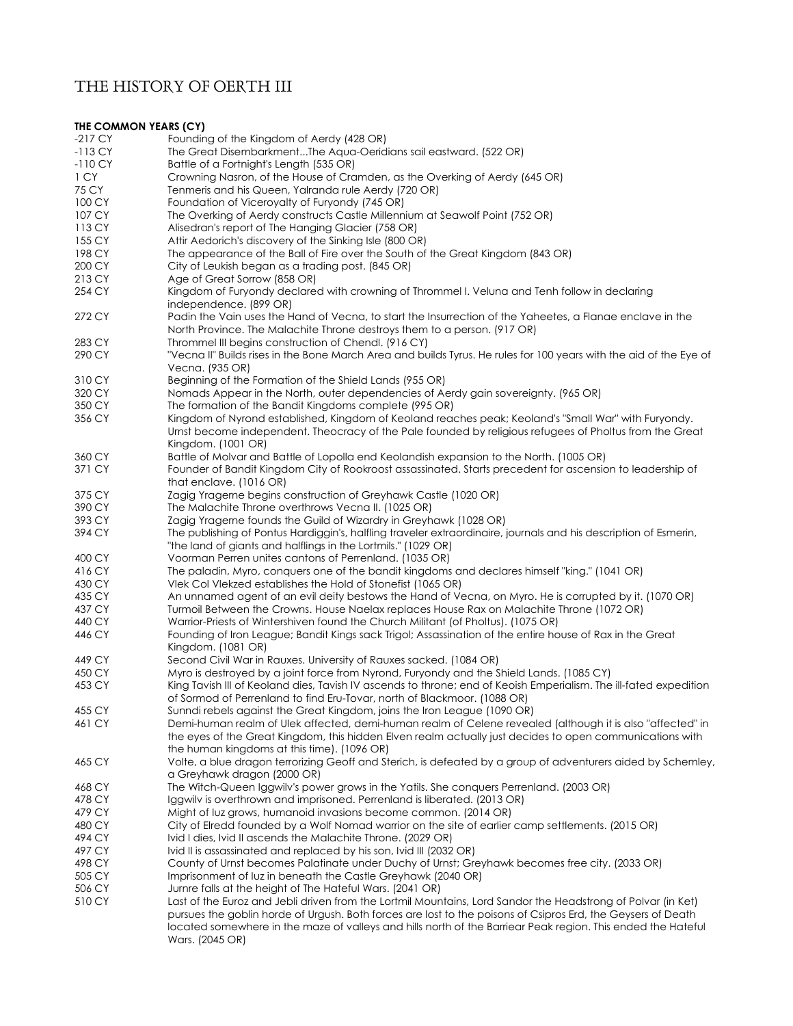# THE HISTORY OF OERTH III

#### **THE COMMON YEARS (CY)**  -217 CY Founding of the Kingdom of Aerdy (428 OR) -113 CY The Great Disembarkment...The Aqua-Oeridians sail eastward. (522 OR) -110 CY Battle of a Fortnight's Length (535 OR) 1 CY Crowning Nasron, of the House of Cramden, as the Overking of Aerdy (645 OR)<br>75 CY Tenmeris and his Queen Yalranda rule Aerdy (720 OR) Tenmeris and his Queen, Yalranda rule Aerdy (720 OR) 100 CY Foundation of Viceroyalty of Furyondy (745 OR) 107 CY The Overking of Aerdy constructs Castle Millennium at Seawolf Point (752 OR) 113 CY Alisedran's report of The Hanging Glacier (758 OR) 155 CY Attir Aedorich's discovery of the Sinking Isle (800 OR) 198 CY The appearance of the Ball of Fire over the South of the Great Kingdom (843 OR) 200 CY City of Leukish began as a trading post. (845 OR) 213 CY Age of Great Sorrow (858 OR) 254 CY Kingdom of Furyondy declared with crowning of Thrommel I. Veluna and Tenh follow in declaring independence. (899 OR) 272 CY Padin the Vain uses the Hand of Vecna, to start the Insurrection of the Yaheetes, a Flanae enclave in the North Province. The Malachite Throne destroys them to a person. (917 OR) 283 CY Thrommel III begins construction of Chendl. (916 CY) 290 CY "Vecna II" Builds rises in the Bone March Area and builds Tyrus. He rules for 100 years with the aid of the Eye of Vecna. (935 OR) 310 CY Beginning of the Formation of the Shield Lands (955 OR) 320 CY Nomads Appear in the North, outer dependencies of Aerdy gain sovereignty. (965 OR) 350 CY The formation of the Bandit Kingdoms complete (995 OR) 356 CY Kingdom of Nyrond established, Kingdom of Keoland reaches peak; Keoland's "Small War" with Furyondy. Urnst become independent. Theocracy of the Pale founded by religious refugees of Pholtus from the Great Kingdom. (1001 OR) 360 CY Battle of Molvar and Battle of Lopolla end Keolandish expansion to the North. (1005 OR) 371 CY Founder of Bandit Kingdom City of Rookroost assassinated. Starts precedent for ascension to leadership of that enclave. (1016 OR) 375 CY 2Ggig Yragerne begins construction of Greyhawk Castle (1020 OR)<br>390 CY The Malachite Throne overthrows Vecna II, (1025 OR) 390 CY The Malachite Throne overthrows Vecna II. (1025 OR)<br>393 CY Zagia Yragerne founds the Guild of Wizardry in Grevh 393 CY 200 Zagig Yragerne founds the Guild of Wizardry in Greyhawk (1028 OR)<br>394 CY The publishing of Pontus Hardiagin's, halfling traveler extraordingire, i The publishing of Pontus Hardiggin's, halfling traveler extraordinaire, journals and his description of Esmerin, "the land of giants and halflings in the Lortmils." (1029 OR) 400 CY Voorman Perren unites cantons of Perrenland. (1035 OR) 416 CY The paladin, Myro, conquers one of the bandit kingdoms and declares himself "king." (1041 OR) 430 CY Vlek Col Vlekzed establishes the Hold of Stonefist (1065 OR)<br>435 CY An unnamed agent of an evil deity bestows the Hand of Ve An unnamed agent of an evil deity bestows the Hand of Vecna, on Myro. He is corrupted by it. (1070 OR) 437 CY Turmoil Between the Crowns. House Naelax replaces House Rax on Malachite Throne (1072 OR) 440 CY Warrior-Priests of Wintershiven found the Church Militant (of Pholtus). (1075 OR) 446 CY Founding of Iron League; Bandit Kings sack Trigol; Assassination of the entire house of Rax in the Great Kingdom. (1081 OR) 449 CY Second Civil War in Rauxes. University of Rauxes sacked. (1084 OR) 450 CY Myro is destroyed by a joint force from Nyrond, Furyondy and the Shield Lands. (1085 CY) King Tavish III of Keoland dies, Tavish IV ascends to throne; end of Keoish Emperialism. The ill-fated expedition of Sormod of Perrenland to find Eru-Tovar, north of Blackmoor. (1088 OR) 455 CY Sunndi rebels against the Great Kingdom, joins the Iron League (1090 OR) 461 CY Demi-human realm of Ulek affected, demi-human realm of Celene revealed (although it is also "affected" in the eyes of the Great Kingdom, this hidden Elven realm actually just decides to open communications with the human kingdoms at this time). (1096 OR) 465 CY Volte, a blue dragon terrorizing Geoff and Sterich, is defeated by a group of adventurers aided by Schemley, a Greyhawk dragon (2000 OR) 468 CY The Witch-Queen Iggwilv's power grows in the Yatils. She conquers Perrenland. (2003 OR) 478 CY Iggwilv is overthrown and imprisoned. Perrenland is liberated. (2013 OR) 479 CY Might of luz grows, humanoid invasions become common. (2014 OR)<br>480 CY City of Elredd founded by a Wolf Nomad warrior on the site of earlier City of Elredd founded by a Wolf Nomad warrior on the site of earlier camp settlements. (2015 OR) 494 CY Ivid I dies, Ivid II ascends the Malachite Throne. (2029 OR) 497 CY Ivid II is assassinated and replaced by his son, Ivid III (2032 OR) 498 CY County of Urnst becomes Palatinate under Duchy of Urnst; Greyhawk becomes free city. (2033 OR) 505 CY Imprisonment of Iuz in beneath the Castle Greyhawk (2040 OR) 506 CY Jurnre falls at the height of The Hateful Wars. (2041 OR) 510 CY Last of the Euroz and Jebli driven from the Lortmil Mountains, Lord Sandor the Headstrong of Polvar (in Ket) pursues the goblin horde of Urgush. Both forces are lost to the poisons of Csipros Erd, the Geysers of Death

located somewhere in the maze of valleys and hills north of the Barriear Peak region. This ended the Hateful Wars. (2045 OR)